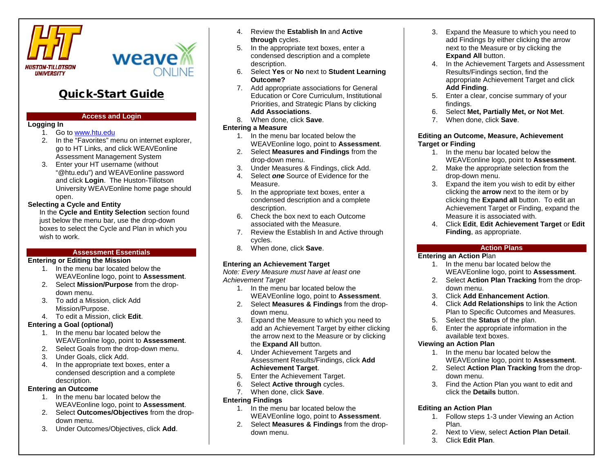



# Quick-Start Guide

### **Access and Login**

#### **Logging In**

- 1. Go t[o www.htu.edu](http://www.htu.edu/)
- 2. In the "Favorites" menu on internet explorer, go to HT Links, and click WEAVEonline Assessment Management System
- 3. Enter your HT username (without "@htu.edu") and WEAVEonline password and click **Login**. The Huston-Tillotson University WEAVEonline home page should open.

# **Selecting a Cycle and Entity**

In the **Cycle and Entity Selection** section found just below the menu bar, use the drop-down boxes to select the Cycle and Plan in which you wish to work.

#### **Assessment Essentials**

#### **Entering or Editing the Mission**

- 1. In the menu bar located below the WEAVEonline logo, point to **Assessment**.
- 2. Select **Mission/Purpose** from the dropdown menu.
- 3. To add a Mission, click Add Mission/Purpose.
- 4. To edit a Mission, click **Edit**.

#### **Entering a Goal (optional)**

- 1. In the menu bar located below the WEAVEonline logo, point to **Assessment**.
- 2. Select Goals from the drop-down menu.
- 3. Under Goals, click Add.
- 4. In the appropriate text boxes, enter a condensed description and a complete description.

# **Entering an Outcome**

- 1. In the menu bar located below the WEAVEonline logo, point to **Assessment**.
- 2. Select **Outcomes/Objectives** from the dropdown menu.
- 3. Under Outcomes/Objectives, click **Add**.
- 4. Review the **Establish In** and **Active through** cycles.
- 5. In the appropriate text boxes, enter a condensed description and a complete description.
- 6. Select **Yes** or **No** next to **Student Learning Outcome?**
- 7. Add appropriate associations for General Education or Core Curriculum, Institutional Priorities, and Strategic Plans by clicking **Add Associations**.
- 8. When done, click **Save**.

#### **Entering a Measure**

- 1. In the menu bar located below the WEAVEonline logo, point to **Assessment**.
- 2. Select **Measures and Findings** from the drop-down menu.
- 3. Under Measures & Findings, click Add.
- 4. Select *one* Source of Evidence for the Measure.
- 5. In the appropriate text boxes, enter a condensed description and a complete description.
- 6. Check the box next to each Outcome associated with the Measure.
- 7. Review the Establish In and Active through cycles.
- 8. When done, click **Save**.

# **Entering an Achievement Target**

*Note: Every Measure must have at least one Achievement Target*

- 1. In the menu bar located below the WEAVEonline logo, point to **Assessment**.
- 2. Select **Measures & Findings** from the dropdown menu.
- 3. Expand the Measure to which you need to add an Achievement Target by either clicking the arrow next to the Measure or by clicking the **Expand All** button.
- 4. Under Achievement Targets and Assessment Results/Findings, click **Add Achievement Target**.
- 5. Enter the Achievement Target.
- 6. Select **Active through** cycles.
- 7. When done, click **Save**.

#### **Entering Findings**

- 1. In the menu bar located below the WEAVEonline logo, point to **Assessment**.
- 2. Select **Measures & Findings** from the dropdown menu.
- 3. Expand the Measure to which you need to add Findings by either clicking the arrow next to the Measure or by clicking the **Expand All** button.
- 4. In the Achievement Targets and Assessment Results/Findings section, find the appropriate Achievement Target and click **Add Finding**.
- 5. Enter a clear, concise summary of your findings.
- 6. Select **Met, Partially Met, or Not Met**.
- 7. When done, click **Save**.

#### **Editing an Outcome, Measure, Achievement Target or Finding**

- 1. In the menu bar located below the WEAVEonline logo, point to **Assessment**.
- 2. Make the appropriate selection from the drop-down menu.
- 3. Expand the item you wish to edit by either clicking the **arrow** next to the item or by clicking the **Expand all** button. To edit an Achievement Target or Finding, expand the Measure it is associated with.
- 4. Click **Edit**, **Edit Achievement Target** or **Edit Finding**, as appropriate.

#### **Action Plans**

#### **Entering an Action P**lan

- 1. In the menu bar located below the WEAVEonline logo, point to **Assessment**.
- 2. Select **Action Plan Tracking** from the dropdown menu.
- 3. Click **Add Enhancement Action**.
- 4. Click **Add Relationships** to link the Action Plan to Specific Outcomes and Measures.
- 5. Select the **Status** of the plan.
- 6. Enter the appropriate information in the available text boxes.

#### **Viewing an Action Plan**

- 1. In the menu bar located below the WEAVEonline logo, point to **Assessment**.
- 2. Select **Action Plan Tracking** from the dropdown menu.
- 3. Find the Action Plan you want to edit and click the **Details** button.

# **Editing an Action Plan**

- 1. Follow steps 1-3 under Viewing an Action Plan.
- 2. Next to View, select **Action Plan Detail**.
- 3. Click **Edit Plan**.